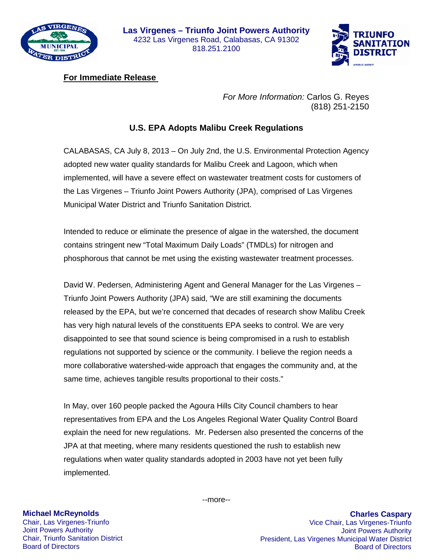



## **For Immediate Release**

*For More Information:* Carlos G. Reyes (818) 251-2150

## **U.S. EPA Adopts Malibu Creek Regulations**

CALABASAS, CA July 8, 2013 – On July 2nd, the U.S. Environmental Protection Agency adopted new water quality standards for Malibu Creek and Lagoon, which when implemented, will have a severe effect on wastewater treatment costs for customers of the Las Virgenes – Triunfo Joint Powers Authority (JPA), comprised of Las Virgenes Municipal Water District and Triunfo Sanitation District.

Intended to reduce or eliminate the presence of algae in the watershed, the document contains stringent new "Total Maximum Daily Loads" (TMDLs) for nitrogen and phosphorous that cannot be met using the existing wastewater treatment processes.

David W. Pedersen, Administering Agent and General Manager for the Las Virgenes – Triunfo Joint Powers Authority (JPA) said, "We are still examining the documents released by the EPA, but we're concerned that decades of research show Malibu Creek has very high natural levels of the constituents EPA seeks to control. We are very disappointed to see that sound science is being compromised in a rush to establish regulations not supported by science or the community. I believe the region needs a more collaborative watershed-wide approach that engages the community and, at the same time, achieves tangible results proportional to their costs."

In May, over 160 people packed the Agoura Hills City Council chambers to hear representatives from EPA and the Los Angeles Regional Water Quality Control Board explain the need for new regulations. Mr. Pedersen also presented the concerns of the JPA at that meeting, where many residents questioned the rush to establish new regulations when water quality standards adopted in 2003 have not yet been fully implemented.

## **Michael McReynolds**

Chair, Las Virgenes-Triunfo Joint Powers Authority Chair, Triunfo Sanitation District Board of Directors

--more--

**Charles Caspary** Vice Chair, Las Virgenes-Triunfo Joint Powers Authority President, Las Virgenes Municipal Water District Board of Directors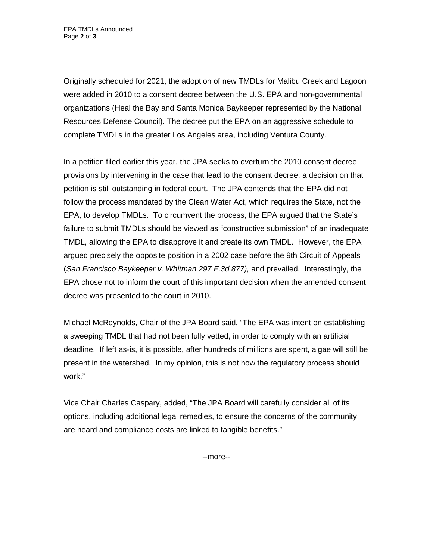Originally scheduled for 2021, the adoption of new TMDLs for Malibu Creek and Lagoon were added in 2010 to a consent decree between the U.S. EPA and non-governmental organizations (Heal the Bay and Santa Monica Baykeeper represented by the National Resources Defense Council). The decree put the EPA on an aggressive schedule to complete TMDLs in the greater Los Angeles area, including Ventura County.

In a petition filed earlier this year, the JPA seeks to overturn the 2010 consent decree provisions by intervening in the case that lead to the consent decree; a decision on that petition is still outstanding in federal court. The JPA contends that the EPA did not follow the process mandated by the Clean Water Act, which requires the State, not the EPA, to develop TMDLs. To circumvent the process, the EPA argued that the State's failure to submit TMDLs should be viewed as "constructive submission" of an inadequate TMDL, allowing the EPA to disapprove it and create its own TMDL. However, the EPA argued precisely the opposite position in a 2002 case before the 9th Circuit of Appeals (*San Francisco Baykeeper v. Whitman 297 F.3d 877),* and prevailed. Interestingly, the EPA chose not to inform the court of this important decision when the amended consent decree was presented to the court in 2010.

Michael McReynolds, Chair of the JPA Board said, "The EPA was intent on establishing a sweeping TMDL that had not been fully vetted, in order to comply with an artificial deadline. If left as-is, it is possible, after hundreds of millions are spent, algae will still be present in the watershed. In my opinion, this is not how the regulatory process should work."

Vice Chair Charles Caspary, added, "The JPA Board will carefully consider all of its options, including additional legal remedies, to ensure the concerns of the community are heard and compliance costs are linked to tangible benefits."

--more--